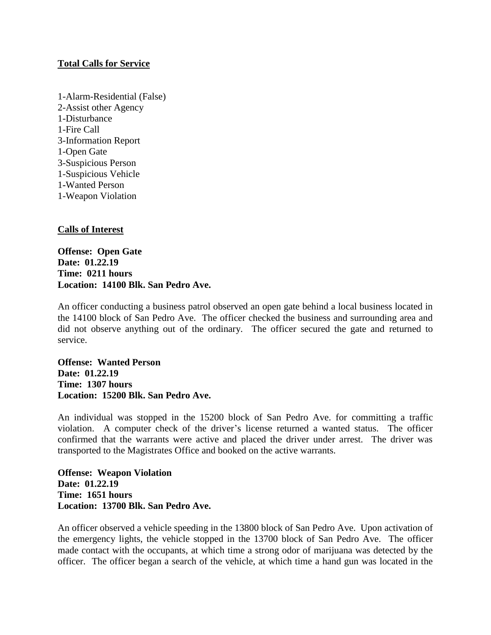### **Total Calls for Service**

1-Alarm-Residential (False) 2-Assist other Agency 1-Disturbance 1-Fire Call 3-Information Report 1-Open Gate 3-Suspicious Person 1-Suspicious Vehicle 1**-**Wanted Person 1-Weapon Violation

# **Calls of Interest**

**Offense: Open Gate Date: 01.22.19 Time: 0211 hours Location: 14100 Blk. San Pedro Ave.**

An officer conducting a business patrol observed an open gate behind a local business located in the 14100 block of San Pedro Ave. The officer checked the business and surrounding area and did not observe anything out of the ordinary. The officer secured the gate and returned to service.

**Offense: Wanted Person Date: 01.22.19 Time: 1307 hours Location: 15200 Blk. San Pedro Ave.**

An individual was stopped in the 15200 block of San Pedro Ave. for committing a traffic violation. A computer check of the driver's license returned a wanted status. The officer confirmed that the warrants were active and placed the driver under arrest. The driver was transported to the Magistrates Office and booked on the active warrants.

**Offense: Weapon Violation Date: 01.22.19 Time: 1651 hours Location: 13700 Blk. San Pedro Ave.**

An officer observed a vehicle speeding in the 13800 block of San Pedro Ave. Upon activation of the emergency lights, the vehicle stopped in the 13700 block of San Pedro Ave. The officer made contact with the occupants, at which time a strong odor of marijuana was detected by the officer. The officer began a search of the vehicle, at which time a hand gun was located in the